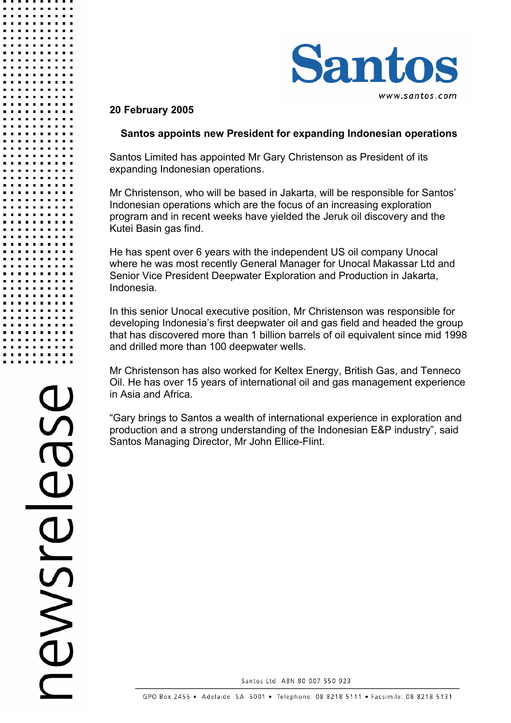

## **20 February 2005**

## **Santos appoints new President for expanding Indonesian operations**

Santos Limited has appointed Mr Gary Christenson as President of its expanding Indonesian operations.

Mr Christenson, who will be based in Jakarta, will be responsible for Santos' Indonesian operations which are the focus of an increasing exploration program and in recent weeks have yielded the Jeruk oil discovery and the Kutei Basin gas find.

He has spent over 6 years with the independent US oil company Unocal where he was most recently General Manager for Unocal Makassar Ltd and Senior Vice President Deepwater Exploration and Production in Jakarta, Indonesia.

In this senior Unocal executive position, Mr Christenson was responsible for developing Indonesia's first deepwater oil and gas field and headed the group that has discovered more than 1 billion barrels of oil equivalent since mid 1998 and drilled more than 100 deepwater wells.

Mr Christenson has also worked for Keltex Energy, British Gas, and Tenneco Oil. He has over 15 years of international oil and gas management experience in Asia and Africa.

"Gary brings to Santos a wealth of international experience in exploration and production and a strong understanding of the Indonesian E&P industry", said Santos Managing Director, Mr John Ellice-Flint.

BIONSVE

Santos Ltd ABN 80 007 550 923